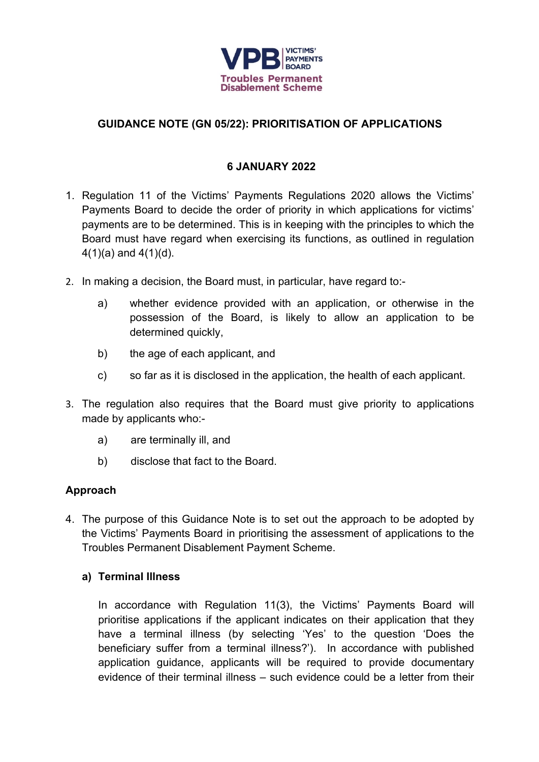

# **GUIDANCE NOTE (GN 05/22): PRIORITISATION OF APPLICATIONS**

## **6 JANUARY 2022**

- 1. Regulation 11 of the Victims' Payments Regulations 2020 allows the Victims' Payments Board to decide the order of priority in which applications for victims' payments are to be determined. This is in keeping with the principles to which the Board must have regard when exercising its functions, as outlined in regulation  $4(1)(a)$  and  $4(1)(d)$ .
- 2. In making a decision, the Board must, in particular, have regard to:
	- a) whether evidence provided with an application, or otherwise in the possession of the Board, is likely to allow an application to be determined quickly,
	- b) the age of each applicant, and
	- c) so far as it is disclosed in the application, the health of each applicant.
- 3. The regulation also requires that the Board must give priority to applications made by applicants who:
	- a) are terminally ill, and
	- b) disclose that fact to the Board.

### **Approach**

4. The purpose of this Guidance Note is to set out the approach to be adopted by the Victims' Payments Board in prioritising the assessment of applications to the Troubles Permanent Disablement Payment Scheme.

#### **a) Terminal Illness**

In accordance with Regulation 11(3), the Victims' Payments Board will prioritise applications if the applicant indicates on their application that they have a terminal illness (by selecting 'Yes' to the question 'Does the beneficiary suffer from a terminal illness?'). In accordance with published application guidance, applicants will be required to provide documentary evidence of their terminal illness – such evidence could be a letter from their